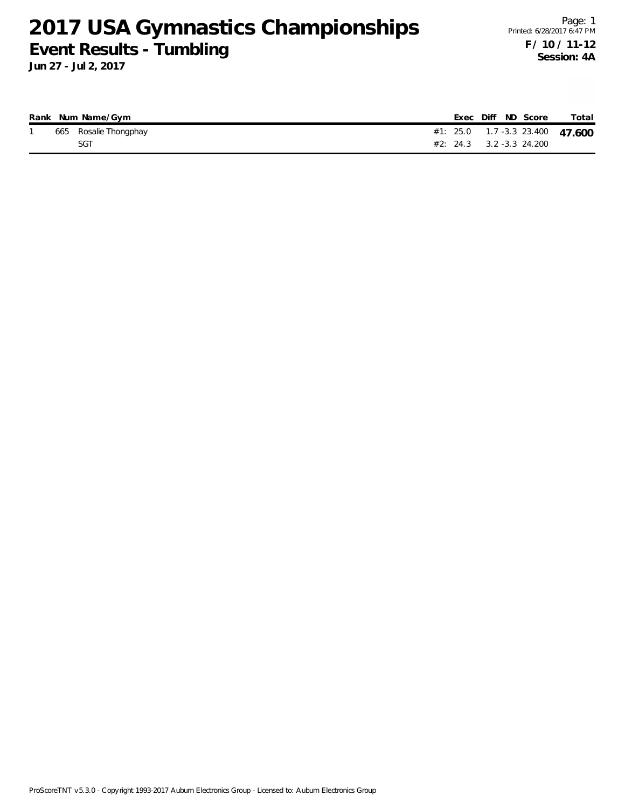**Jun 27 - Jul 2, 2017**

|  | Rank Num Name/Gym     |  | Exec Diff ND Score                 | Total |
|--|-----------------------|--|------------------------------------|-------|
|  | 665 Rosalie Thongphay |  | #1: 25.0  1.7 -3.3  23.400  47.600 |       |
|  | SGT                   |  | $\#2$ : 24.3 3.2 -3.3 24.200       |       |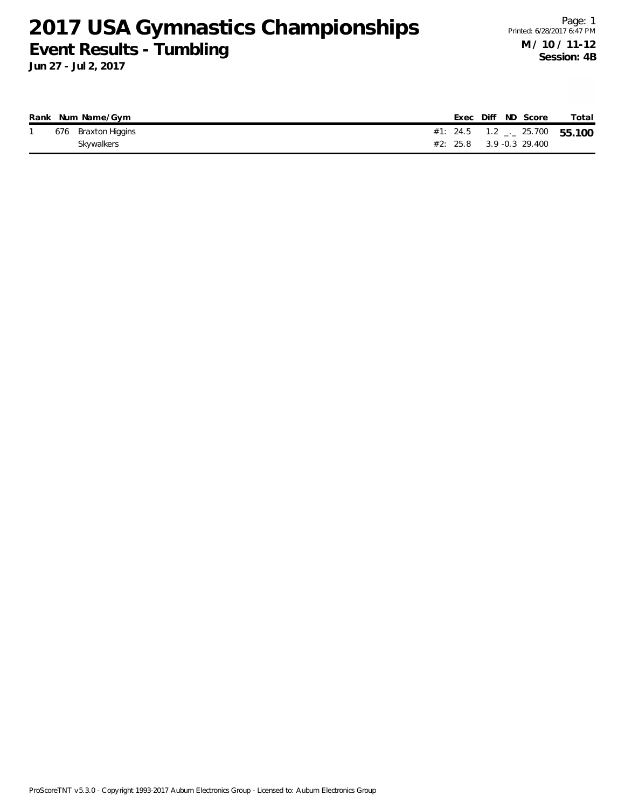**Jun 27 - Jul 2, 2017**

|  | Rank Num Name/Gym   |  |  | Exec Diff ND Score           | Total                                |
|--|---------------------|--|--|------------------------------|--------------------------------------|
|  | 676 Braxton Higgins |  |  |                              | #1: 24.5 $1.2$ $_{-}$ 25.700  55.100 |
|  | Skywalkers          |  |  | $\#2$ : 25.8 3.9 -0.3 29.400 |                                      |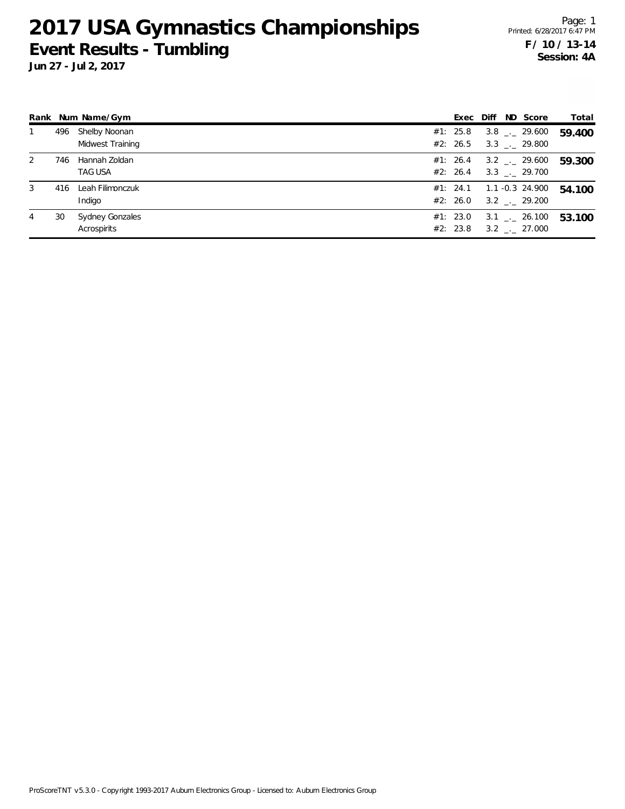**Jun 27 - Jul 2, 2017**

Page: 1 Printed: 6/28/2017 6:47 PM **F / 10 / 13-14 Session: 4A**

|   |     | Rank Num Name/Gym                     |                      |  | Exec Diff ND Score                                                | Total  |
|---|-----|---------------------------------------|----------------------|--|-------------------------------------------------------------------|--------|
|   | 496 | Shelby Noonan<br>Midwest Training     | #1: 25.8<br>#2: 26.5 |  | $3.8$ $_{\leftarrow}$ 29.600<br>$3.3$ $_{\leftarrow}$ 29.800      | 59.400 |
| 2 | 746 | Hannah Zoldan<br><b>TAG USA</b>       | #1: 26.4             |  | $3.2$ $_{\leftarrow}$ 29.600<br>#2: 26.4 3.3 $\ldots$ 29.700      | 59.300 |
| 3 |     | 416 Leah Filimonczuk<br>Indigo        | #2: 26.0             |  | $#1: 24.1 \qquad 1.1 -0.3 24.900$<br>$3.2$ $_{\leftarrow}$ 29.200 | 54.100 |
| 4 | 30  | <b>Sydney Gonzales</b><br>Acrospirits | #1: 23.0<br>#2: 23.8 |  | $3.1$ $_{\leftarrow}$ 26.100<br>$3.2$ $_{\sim}$ 27.000            | 53.100 |

ProScoreTNT v5.3.0 - Copyright 1993-2017 Auburn Electronics Group - Licensed to: Auburn Electronics Group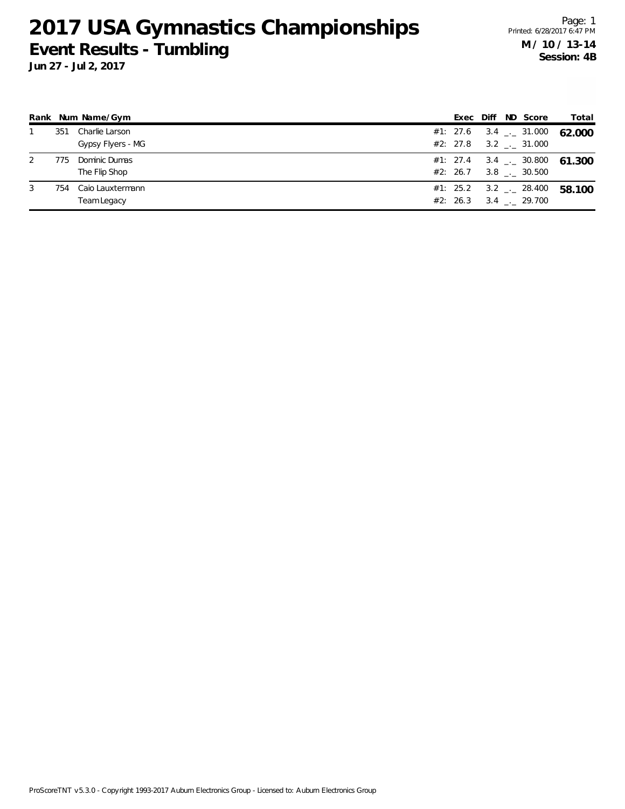**Jun 27 - Jul 2, 2017**

Page: 1 Printed: 6/28/2017 6:47 PM **M / 10 / 13-14 Session: 4B**

|   |     | Rank Num Name/Gym                   |  |  | Exec Diff ND Score                                              | Total                              |
|---|-----|-------------------------------------|--|--|-----------------------------------------------------------------|------------------------------------|
|   | 351 | Charlie Larson<br>Gypsy Flyers - MG |  |  | #1: 27.6 3.4 $\frac{1}{2}$ 31.000<br>$#2: 27.8$ 3.2 . 31.000    | 62.000                             |
| 2 | 775 | Dominic Dumas<br>The Flip Shop      |  |  | #2: 26.7 3.8 $\ldots$ 30.500                                    | #1: 27.4 $3.4$ $-$ 30.800   61.300 |
| 3 | 754 | Caio Lauxtermann<br>Team Legacy     |  |  | #1: 25.2 3.2 $\frac{1}{2}$ 28.400<br>$#2: 26.3 \t3.4 \t 29.700$ | 58.100                             |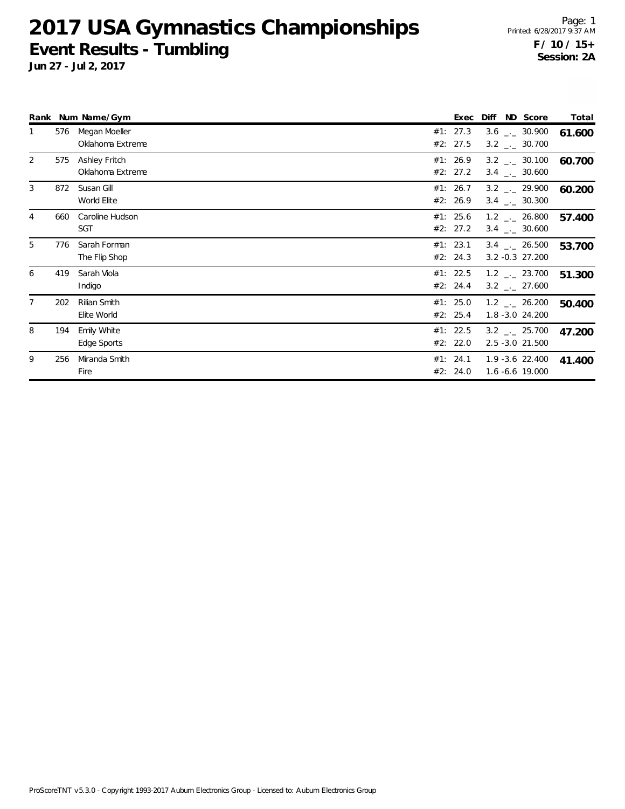**Jun 27 - Jul 2, 2017**

Page: 1 Printed: 6/28/2017 9:37 AM **F / 10 / 15+ Session: 2A**

|   |     | Rank Num Name/Gym                        | Exec                 | Diff | ND Score                                                     | Total  |
|---|-----|------------------------------------------|----------------------|------|--------------------------------------------------------------|--------|
|   | 576 | Megan Moeller<br>Oklahoma Extreme        | #1: 27.3<br>#2: 27.5 |      | $3.6$ $-.$ 30.900<br>$3.2$ $_{\leftarrow}$ 30.700            | 61.600 |
| 2 | 575 | <b>Ashley Fritch</b><br>Oklahoma Extreme | #1: 26.9<br>#2: 27.2 |      | $3.2$ $_{\sim}$ 30.100<br>$3.4$ $-2$ 30.600                  | 60.700 |
| 3 | 872 | Susan Gill<br>World Elite                | #1: 26.7<br>#2: 26.9 |      | $3.2$ $_{\leftarrow}$ 29.900<br>$3.4$ $_{\leftarrow}$ 30.300 | 60.200 |
| 4 | 660 | Caroline Hudson<br><b>SGT</b>            | #1: 25.6<br>#2: 27.2 |      | $1.2$ $_{\leftarrow}$ 26.800<br>$3.4$ $-.$ 30.600            | 57.400 |
| 5 | 776 | Sarah Forman<br>The Flip Shop            | #1: 23.1<br>#2: 24.3 |      | $3.4$ $-.$ 26.500<br>$3.2 - 0.3$ 27.200                      | 53.700 |
| 6 | 419 | Sarah Viola<br>Indigo                    | #1: 22.5<br>#2: 24.4 |      | $1.2$ $_{\leftarrow}$ 23.700<br>$3.2$ $_{\leftarrow}$ 27.600 | 51.300 |
|   | 202 | Rilian Smith<br>Elite World              | #1: 25.0<br>#2: 25.4 |      | $1.2$ $_{\sim}$ 26.200<br>1.8 - 3.0 24.200                   | 50.400 |
| 8 | 194 | <b>Emily White</b><br>Edge Sports        | #1: 22.5<br>#2: 22.0 |      | $3.2$ $_{\leftarrow}$ 25.700<br>2.5 -3.0 21.500              | 47.200 |
| 9 | 256 | Miranda Smith<br>Fire                    | #1: 24.1<br>#2: 24.0 |      | $1.9 - 3.6$ 22.400<br>1.6 -6.6 19.000                        | 41.400 |